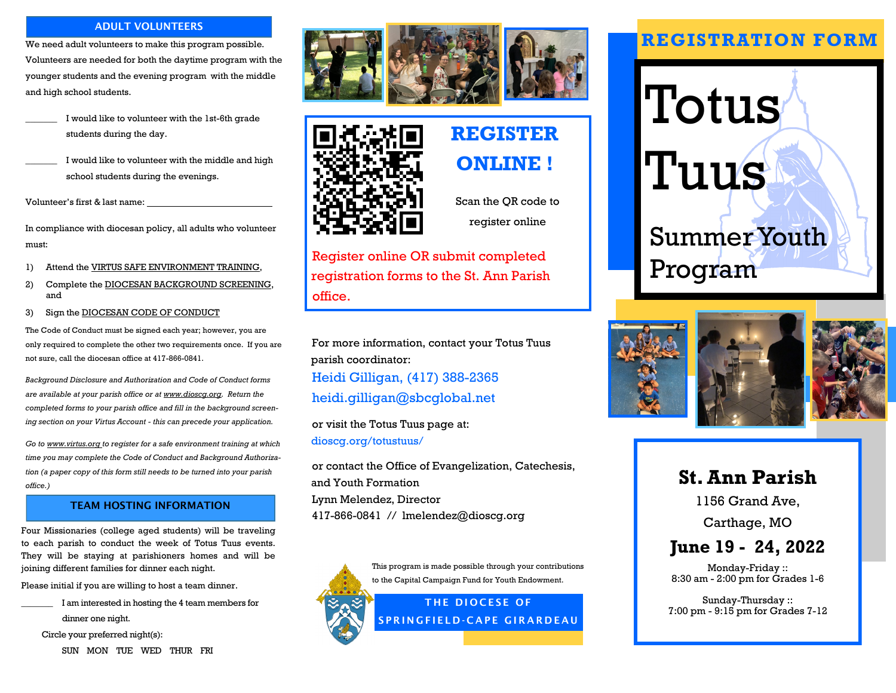#### **ADULT VOLUNTEERS**

We need adult volunteers to make this program possible. Volunteers are needed for both the daytime program with the younger students and the evening program with the middle and high school students.

- I would like to volunteer with the 1st-6th grade students during the day.
- I would like to volunteer with the middle and high school students during the evenings.

Volunteer's first & last name:

In compliance with diocesan policy, all adults who volunteer must:

- 1) Attend the VIRTUS SAFE ENVIRONMENT TRAINING,
- 2) Complete the DIOCESAN BACKGROUND SCREENING, and
- 3) Sign the DIOCESAN CODE OF CONDUCT

The Code of Conduct must be signed each year; however, you are only required to complete the other two requirements once. If you are not sure, call the diocesan office at 417-866-0841.

*Background Disclosure and Authorization and Code of Conduct forms are available at your parish office or at www.dioscg.org. Return the completed forms to your parish office and fill in the background screening section on your Virtus Account - this can precede your application.* 

*Go to www.virtus.org to register for a safe environment training at which time you may complete the Code of Conduct and Background Authorization (a paper copy of this form still needs to be turned into your parish office.)* 

#### **TEAM HOSTING INFORMATION**

Four Missionaries (college aged students) will be traveling to each parish to conduct the week of Totus Tuus events. They will be staying at parishioners homes and will be joining different families for dinner each night.

Please initial if you are willing to host a team dinner.

I am interested in hosting the 4 team members for

dinner one night.

Circle your preferred night(s):

SUN MON TUE WED THUR FRI





# **REGISTER ONLINE !**

Scan the QR code to register online

Register online OR submit completed registration forms to the St. Ann Parish office.

For more information, contact your Totus Tuus parish coordinator: Heidi Gilligan, (417) 388-2365 heidi.gilligan@sbcglobal.net

or visit the Totus Tuus page at: dioscg.org/totustuus/

or contact the Office of Evangelization, Catechesis, and Youth Formation Lynn Melendez, Director 417-866-0841 // lmelendez@dioscg.org





Summer Youth

**REGISTRATION FORM**

**Totus** 

Tuus

Program

## **St. Ann Parish**

1156 Grand Ave,

Carthage, MO

## **June 19 - 24, 2022**

Monday-Friday :: 8:30 am - 2:00 pm for Grades 1-6

Sunday-Thursday :: 7:00 pm - 9:15 pm for Grades 7-12